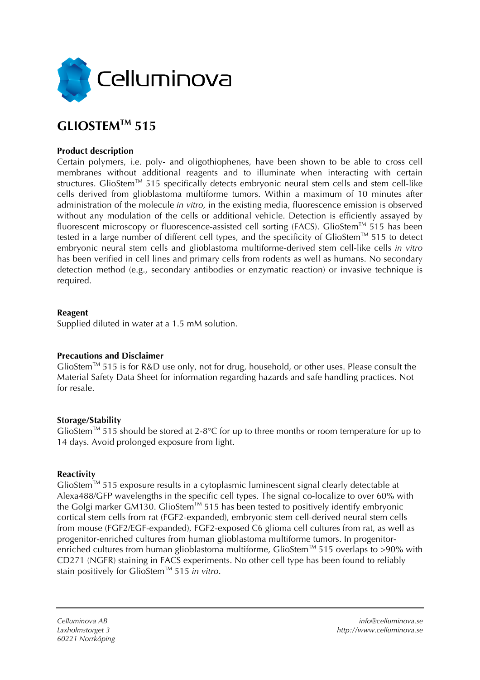

# **GLIOSTEMTM 515**

### **Product description**

Certain polymers, i.e. poly- and oligothiophenes, have been shown to be able to cross cell membranes without additional reagents and to illuminate when interacting with certain structures. GlioStem™ 515 specifically detects embryonic neural stem cells and stem cell-like cells derived from glioblastoma multiforme tumors. Within a maximum of 10 minutes after administration of the molecule *in vitro,* in the existing media, fluorescence emission is observed without any modulation of the cells or additional vehicle. Detection is efficiently assayed by fluorescent microscopy or fluorescence-assisted cell sorting (FACS). GlioStem<sup>TM</sup> 515 has been tested in a large number of different cell types, and the specificity of GlioStem<sup>TM</sup> 515 to detect embryonic neural stem cells and glioblastoma multiforme-derived stem cell-like cells *in vitro* has been verified in cell lines and primary cells from rodents as well as humans. No secondary detection method (e.g., secondary antibodies or enzymatic reaction) or invasive technique is required.

#### **Reagent**

Supplied diluted in water at a 1.5 mM solution.

#### **Precautions and Disclaimer**

GlioStemTM 515 is for R&D use only, not for drug, household, or other uses. Please consult the Material Safety Data Sheet for information regarding hazards and safe handling practices. Not for resale.

#### **Storage/Stability**

GlioStem<sup>TM</sup> 515 should be stored at 2-8°C for up to three months or room temperature for up to 14 days. Avoid prolonged exposure from light.

#### **Reactivity**

GlioStem<sup>TM</sup> 515 exposure results in a cytoplasmic luminescent signal clearly detectable at Alexa488/GFP wavelengths in the specific cell types. The signal co-localize to over 60% with the Golgi marker GM130. GlioStem<sup>TM</sup> 515 has been tested to positively identify embryonic cortical stem cells from rat (FGF2-expanded), embryonic stem cell-derived neural stem cells from mouse (FGF2/EGF-expanded), FGF2-exposed C6 glioma cell cultures from rat, as well as progenitor-enriched cultures from human glioblastoma multiforme tumors. In progenitorenriched cultures from human glioblastoma multiforme, GlioStem<sup>™</sup> 515 overlaps to >90% with CD271 (NGFR) staining in FACS experiments. No other cell type has been found to reliably stain positively for GlioStem™ 515 *in vitro*.